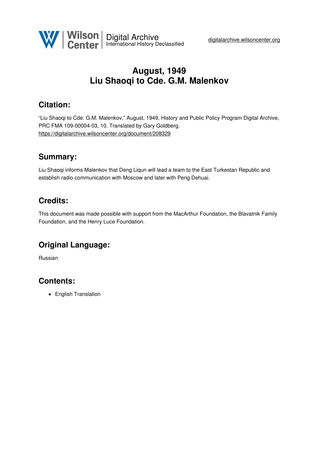

# **August, 1949 Liu Shaoqi to Cde. G.M. Malenkov**

## **Citation:**

"Liu Shaoqi to Cde. G.M. Malenkov," August, 1949, History and Public Policy Program Digital Archive, PRC FMA 109-00004-03, 10. Translated by Gary Goldberg. <https://digitalarchive.wilsoncenter.org/document/208329>

### **Summary:**

Liu Shaoqi informs Malenkov that Deng Liqun will lead a team to the East Turkestan Republic and establish radio communication with Moscow and later with Peng Dehuai.

## **Credits:**

This document was made possible with support from the MacArthur Foundation, the Blavatnik Family Foundation, and the Henry Luce Foundation.

## **Original Language:**

Russian

# **Contents:**

• English Translation